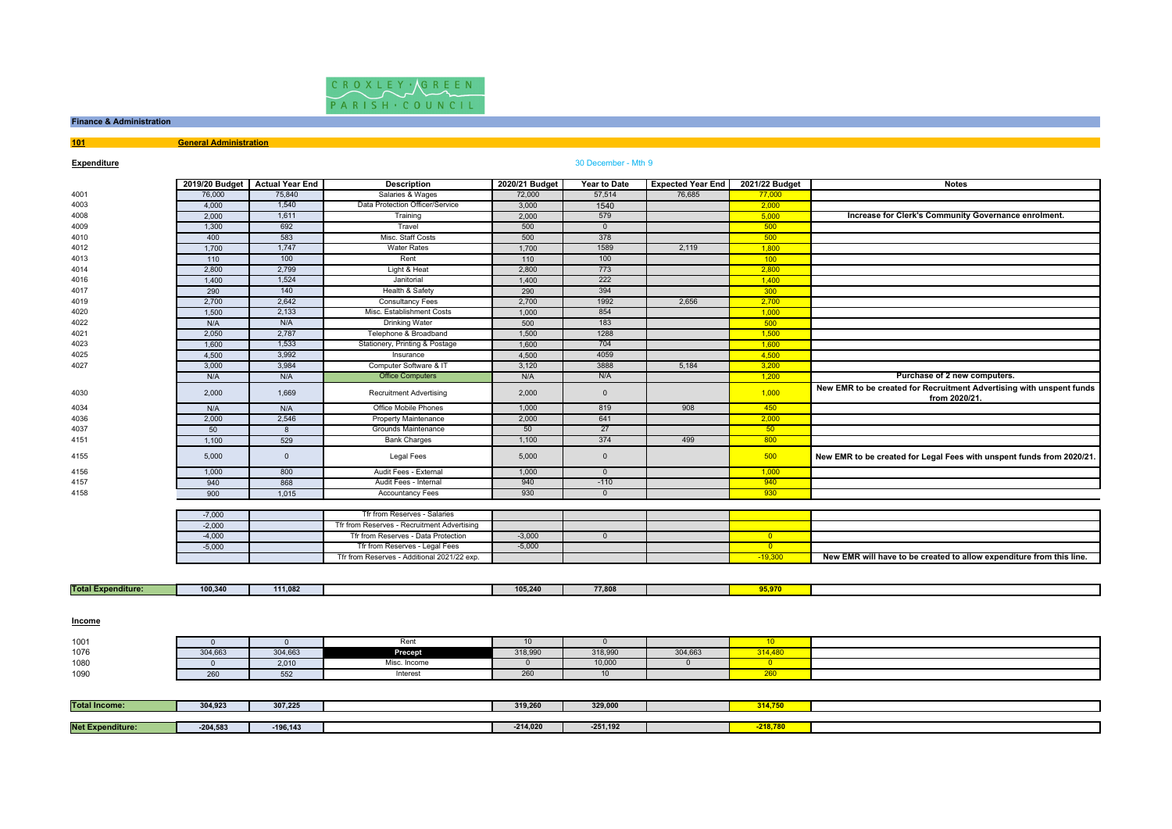

# **Finance & Administration**

**101General Administration**

## **Expenditure**

# **e** and the set of the set of the set of the set of the set of the set of the set of the set of the set of the set of the set of the set of the set of the set of the set of the set of the set of the set of the set of the s

|                           |                | 2019/20 Budget Actual Year End | <b>Description</b>                          | 2020/21 Budget  | Year to Date   | <b>Expected Year End</b> | 2021/22 Budget          | <b>Notes</b>                                                                          |
|---------------------------|----------------|--------------------------------|---------------------------------------------|-----------------|----------------|--------------------------|-------------------------|---------------------------------------------------------------------------------------|
| 4001                      | 76,000         | 75,840                         | Salaries & Wages                            | 72,000          | 57,514         | 76,685                   | 77,000                  |                                                                                       |
| 4003                      | 4,000          | 1,540                          | Data Protection Officer/Service             | 3,000           | 1540           |                          | 2,000                   |                                                                                       |
| 4008                      | 2,000          | 1,611                          | Training                                    | 2,000           | 579            |                          | 5,000                   | Increase for Clerk's Community Governance enrolment.                                  |
| 4009                      | 1,300          | 692                            | Travel                                      | 500             | $\overline{0}$ |                          | 500                     |                                                                                       |
| 4010                      | 400            | 583                            | Misc. Staff Costs                           | 500             | 378            |                          | 500                     |                                                                                       |
| 4012                      | 1,700          | 1,747                          | <b>Water Rates</b>                          | 1,700           | 1589           | 2,119                    | 1,800                   |                                                                                       |
| 4013                      | 110            | 100                            | Rent                                        | 110             | 100            |                          | 100                     |                                                                                       |
| 4014                      | 2,800          | 2,799                          | Light & Heat                                | 2,800           | 773            |                          | 2,800                   |                                                                                       |
| 4016                      | 1,400          | 1,524                          | Janitorial                                  | 1,400           | 222            |                          | 1,400                   |                                                                                       |
| 4017                      | 290            | 140                            | Health & Safety                             | 290             | 394            |                          | 300                     |                                                                                       |
| 4019                      | 2,700          | 2,642                          | <b>Consultancy Fees</b>                     | 2,700           | 1992           | 2,656                    | 2,700                   |                                                                                       |
| 4020                      | 1,500          | 2,133                          | Misc. Establishment Costs                   | 1,000           | 854            |                          | 1,000                   |                                                                                       |
| 4022                      | N/A            | N/A                            | <b>Drinking Water</b>                       | 500             | 183            |                          | 500                     |                                                                                       |
| 4021                      | 2,050          | 2,787                          | Telephone & Broadband                       | 1,500           | 1288           |                          | 1.500                   |                                                                                       |
| 4023                      | 1,600          | 1,533                          | Stationery, Printing & Postage              | 1,600           | 704            |                          | 1,600                   |                                                                                       |
| 4025                      | 4,500          | 3,992                          | Insurance                                   | 4,500           | 4059           |                          | 4,500                   |                                                                                       |
| 4027                      | 3,000          | 3,984                          | Computer Software & IT                      | 3,120           | 3888           | 5,184                    | 3,200                   |                                                                                       |
|                           | N/A            | N/A                            | <b>Office Computers</b>                     | N/A             | N/A            |                          | 1,200                   | Purchase of 2 new computers.                                                          |
| 4030                      | 2,000          | 1,669                          | <b>Recruitment Advertising</b>              | 2,000           | $\overline{0}$ |                          | 1,000                   | New EMR to be created for Recruitment Advertising with unspent funds<br>from 2020/21. |
| 4034                      | N/A            | N/A                            | Office Mobile Phones                        | 1,000           | 819            | 908                      | 450                     |                                                                                       |
| 4036                      | 2,000          | 2,546                          | <b>Property Maintenance</b>                 | 2,000           | 641            |                          | 2,000                   |                                                                                       |
| 4037                      | 50             | 8                              | Grounds Maintenance                         | 50              | 27             |                          | 50                      |                                                                                       |
| 4151                      | 1,100          | 529                            | <b>Bank Charges</b>                         | 1,100           | 374            | 499                      | 800                     |                                                                                       |
| 4155                      | 5,000          | $\Omega$                       | <b>Legal Fees</b>                           | 5,000           | $\overline{0}$ |                          | 500                     | New EMR to be created for Legal Fees with unspent funds from 2020/21.                 |
| 4156                      | 1,000          | 800                            | Audit Fees - External                       | 1,000           | $\overline{0}$ |                          | 1,000                   |                                                                                       |
| 4157                      | 940            | 868                            | Audit Fees - Internal                       | 940             | $-110$         |                          | 940                     |                                                                                       |
| 4158                      | 900            | 1,015                          | <b>Accountancy Fees</b>                     | 930             | $\overline{0}$ |                          | 930                     |                                                                                       |
|                           |                |                                |                                             |                 |                |                          |                         |                                                                                       |
|                           | $-7,000$       |                                | Tfr from Reserves - Salaries                |                 |                |                          |                         |                                                                                       |
|                           | $-2,000$       |                                | Tfr from Reserves - Recruitment Advertising |                 |                |                          |                         |                                                                                       |
|                           | $-4,000$       |                                | Tfr from Reserves - Data Protection         | $-3,000$        | $\mathbf 0$    |                          | $\overline{0}$          |                                                                                       |
|                           | $-5,000$       |                                | Tfr from Reserves - Legal Fees              | $-5,000$        |                |                          | $\overline{\mathbf{0}}$ |                                                                                       |
|                           |                |                                | Tfr from Reserves - Additional 2021/22 exp. |                 |                |                          | $-19,300$               | New EMR will have to be created to allow expenditure from this line.                  |
|                           |                |                                |                                             |                 |                |                          |                         |                                                                                       |
| <b>Total Expenditure:</b> | 100,340        | 111,082                        |                                             | 105,240         | 77,808         |                          | 95,970                  |                                                                                       |
| <b>Income</b>             |                |                                |                                             |                 |                |                          |                         |                                                                                       |
| 1001                      | $\overline{0}$ | $\overline{0}$                 | Rent                                        | 10 <sup>1</sup> | $\overline{0}$ |                          | 10                      |                                                                                       |
| 1076                      | 304,663        | 304,663                        | Precept                                     | 318,990         | 318,990        | 304,663                  | 314,480                 |                                                                                       |
| 1080                      | $\mathbf{0}$   | 2,010                          | Misc. Income                                | $\overline{0}$  | 10,000         | $\overline{0}$           | $\overline{\mathbf{0}}$ |                                                                                       |
| 1090                      | 260            | 552                            | Interest                                    | 260             | 10             |                          | 260                     |                                                                                       |
|                           |                |                                |                                             |                 |                |                          |                         |                                                                                       |
| <b>Total Income:</b>      | 304.923        | 307,225                        |                                             | 319,260         | 329,000        |                          | 314,750                 |                                                                                       |
| <b>Net Expenditure:</b>   |                | $-196, 143$                    |                                             | $-214,020$      | $-251,192$     |                          | $-218,780$              |                                                                                       |
|                           | $-204,583$     |                                |                                             |                 |                |                          |                         |                                                                                       |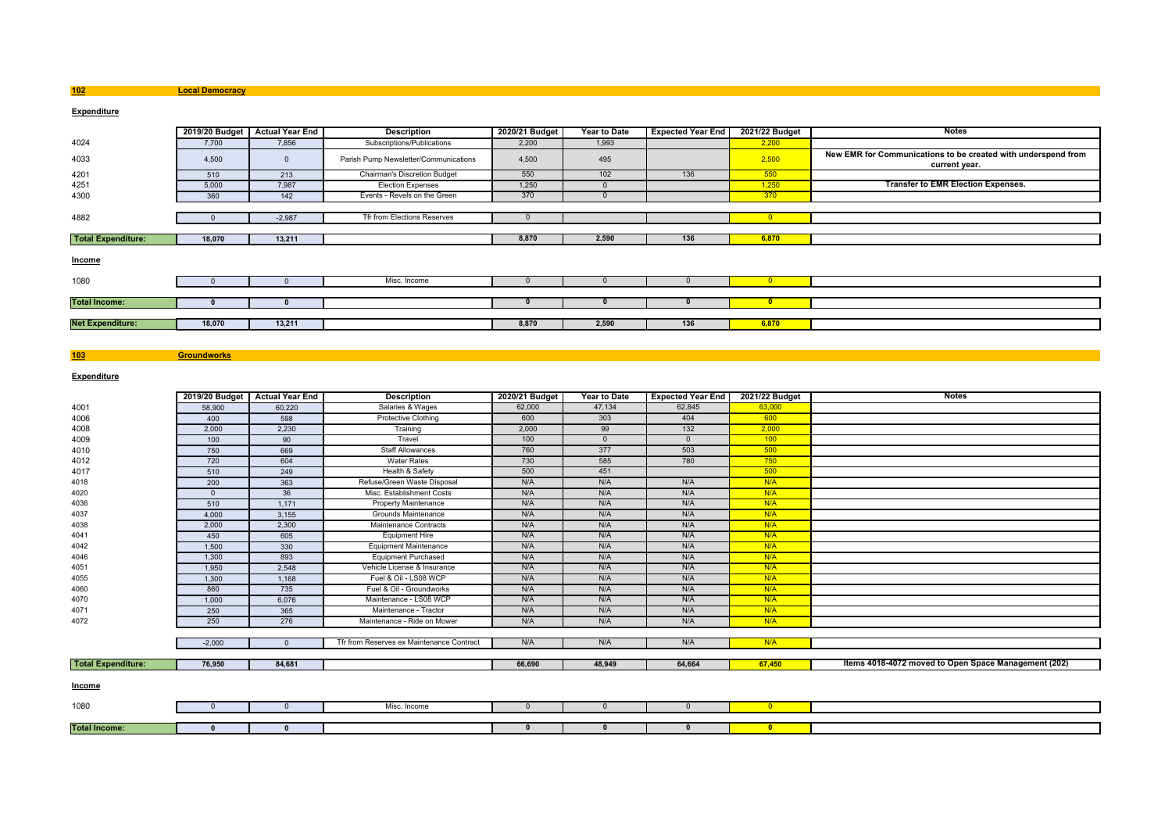**Local Democracy**

**Groundworks**

## **Expenditure**

|                           | 2019/20 Budget | <b>Actual Year End</b> | <b>Description</b>                    | 2020/21 Budget | Year to Date | <b>Expected Year End</b> | 2021/22 Budget | Notes                                                                          |
|---------------------------|----------------|------------------------|---------------------------------------|----------------|--------------|--------------------------|----------------|--------------------------------------------------------------------------------|
| 4024                      | 7,700          | 7,856                  | Subscriptions/Publications            | 2,200          | 1,993        |                          | 2,200          |                                                                                |
| 4033                      | 4,500          | $\Omega$               | Parish Pump Newsletter/Communications | 4,500          | 495          |                          | 2,500          | New EMR for Communications to be created with underspend from<br>current year. |
| 4201                      | 510            | 213                    | <b>Chairman's Discretion Budget</b>   | 550            | 102          | 136                      | 550            |                                                                                |
| 4251                      | 5.000          | 7.987                  | <b>Election Expenses</b>              | 1,250          |              |                          | 1,250          | <b>Transfer to EMR Election Expenses.</b>                                      |
| 4300                      | 360            | 142                    | Events - Revels on the Green          | 370            |              |                          | 370            |                                                                                |
|                           |                |                        |                                       |                |              |                          |                |                                                                                |
| 4882                      |                | $-2,987$               | Tfr from Elections Reserves           |                |              |                          | $\overline{0}$ |                                                                                |
|                           |                |                        |                                       |                |              |                          |                |                                                                                |
| <b>Total Expenditure:</b> | 18,070         | 13,211                 |                                       | 8,870          | 2,590        | 136                      | 6,870          |                                                                                |
| Income                    |                |                        |                                       |                |              |                          |                |                                                                                |
| 1080                      |                |                        | Misc. Income                          |                |              |                          | $\Omega$       |                                                                                |
|                           |                |                        |                                       |                |              |                          |                |                                                                                |
| <b>Total Income:</b>      |                |                        |                                       |                |              |                          | $\mathbf{0}$   |                                                                                |
|                           |                |                        |                                       |                |              |                          |                |                                                                                |
| <b>Net Expenditure:</b>   | 18,070         | 13,211                 |                                       | 8,870          | 2,590        | 136                      | 6,870          |                                                                                |
|                           |                |                        |                                       |                |              |                          |                |                                                                                |

## **Expenditure**

**Total Income:**

**103**

|                           |          | 2019/20 Budget Actual Year End | <b>Description</b>                        | 2020/21 Budget | <b>Year to Date</b> | <b>Expected Year End</b> | 2021/22 Budget | <b>Notes</b>                                         |
|---------------------------|----------|--------------------------------|-------------------------------------------|----------------|---------------------|--------------------------|----------------|------------------------------------------------------|
| 4001                      | 58,900   | 60.220                         | Salaries & Wages                          | 62,000         | 47,134              | 62.845                   | 63,000         |                                                      |
| 4006                      | 400      | 598                            | <b>Protective Clothing</b>                | 600            | 303                 | 404                      | 600            |                                                      |
| 4008                      | 2,000    | 2,230                          | Training                                  | 2,000          | 99                  | 132                      | 2,000          |                                                      |
| 4009                      | 100      | 90                             | Travel                                    | 100            | $\Omega$            | $\Omega$                 | 100            |                                                      |
| 4010                      | 750      | 669                            | <b>Staff Allowances</b>                   | 760            | 377                 | 503                      | 500            |                                                      |
| 4012                      | 720      | 604                            | <b>Water Rates</b>                        | 730            | 585                 | 780                      | 750            |                                                      |
| 4017                      | 510      | 249                            | Health & Safety                           | 500            | 451                 |                          | 500            |                                                      |
| 4018                      | 200      | 363                            | Refuse/Green Waste Disposal               | N/A            | N/A                 | N/A                      | N/A            |                                                      |
| 4020                      | $\Omega$ | 36                             | Misc. Establishment Costs                 | N/A            | N/A                 | N/A                      | N/A            |                                                      |
| 4036                      | 510      | 1,171                          | Property Maintenance                      | N/A            | N/A                 | N/A                      | N/A            |                                                      |
| 4037                      | 4,000    | 3,155                          | Grounds Maintenance                       | N/A            | N/A                 | N/A                      | N/A            |                                                      |
| 4038                      | 2,000    | 2,300                          | Maintenance Contracts                     | N/A            | N/A                 | N/A                      | N/A            |                                                      |
| 4041                      | 450      | 605                            | <b>Equipment Hire</b>                     | N/A            | N/A                 | N/A                      | N/A            |                                                      |
| 4042                      | 1,500    | 330                            | <b>Equipment Maintenance</b>              | N/A            | N/A                 | N/A                      | N/A            |                                                      |
| 4046                      | 1,300    | 893                            | <b>Equipment Purchased</b>                | N/A            | N/A                 | N/A                      | N/A            |                                                      |
| 4051                      | 1,950    | 2,548                          | Vehicle License & Insurance               | N/A            | N/A                 | N/A                      | N/A            |                                                      |
| 4055                      | 1,300    | 1,168                          | Fuel & Oil - LS08 WCP                     | N/A            | N/A                 | N/A                      | N/A            |                                                      |
| 4060                      | 860      | 735                            | Fuel & Oil - Groundworks                  | N/A            | N/A                 | N/A                      | N/A            |                                                      |
| 4070                      | 1,000    | 6,076                          | Maintenance - LS08 WCP                    | N/A            | N/A                 | N/A                      | N/A            |                                                      |
| 4071                      | 250      | 365                            | Maintenance - Tractor                     | N/A            | N/A                 | N/A                      | N/A            |                                                      |
| 4072                      | 250      | 276                            | Maintenance - Ride on Mower               | N/A            | N/A                 | N/A                      | N/A            |                                                      |
|                           |          |                                |                                           |                |                     |                          |                |                                                      |
|                           | $-2,000$ | $\Omega$                       | Tfr from Reserves ex Maintenance Contract | N/A            | N/A                 | N/A                      | N/A            |                                                      |
|                           |          |                                |                                           |                |                     |                          |                |                                                      |
| <b>Total Expenditure:</b> | 76,950   | 84,681                         |                                           | 66,690         | 48,949              | 64,664                   | 67,450         | Items 4018-4072 moved to Open Space Management (202) |
|                           |          |                                |                                           |                |                     |                          |                |                                                      |
| Income                    |          |                                |                                           |                |                     |                          |                |                                                      |
| 1080                      | $\Omega$ | $\Omega$                       | Misc. Income                              | $\Omega$       | $\overline{0}$      | $\mathbf{0}$             | $\overline{0}$ |                                                      |
|                           |          |                                |                                           |                |                     |                          |                |                                                      |

**<sup>0</sup> <sup>0</sup> <sup>0</sup> <sup>0</sup> <sup>0</sup> <sup>0</sup>**

**102**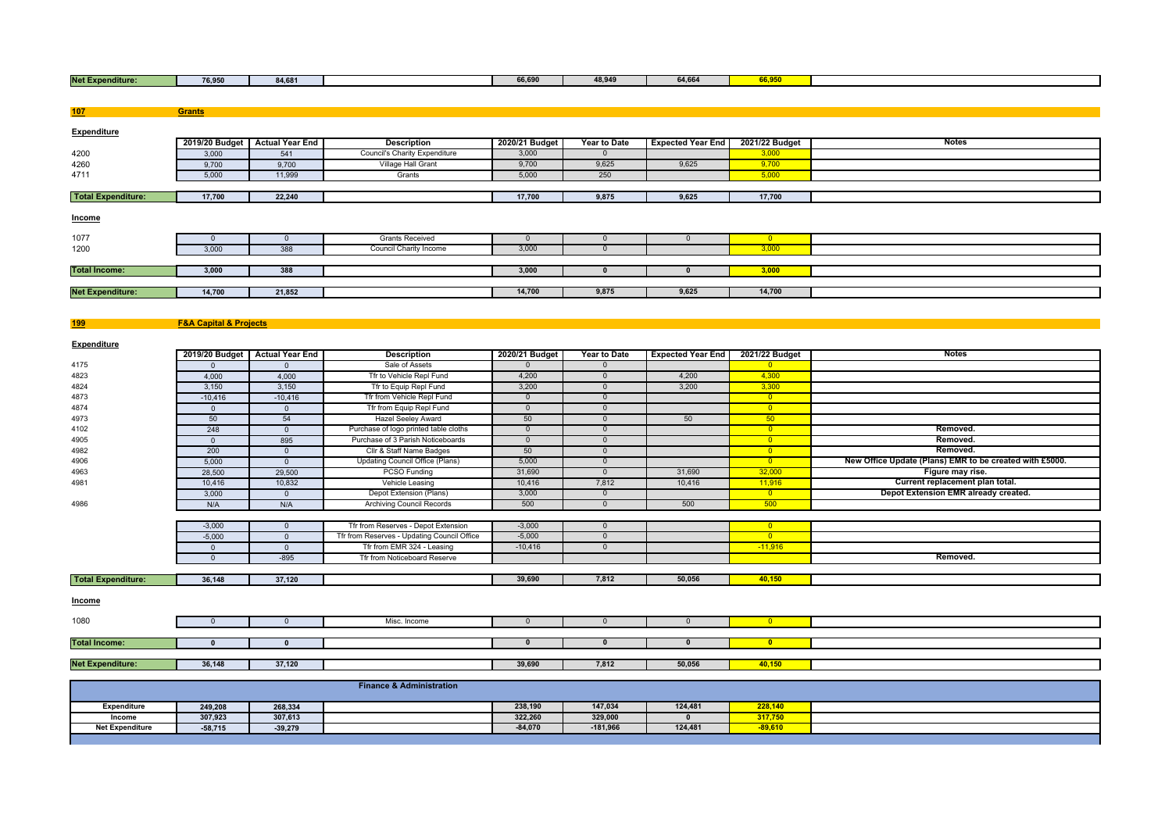|  | <b>Net Ex</b><br>enditure:<br>--- | -- ---<br>76,950 | $-0.400$<br>84 hr<br> |  | 66.690<br> | 48.94 <sup>r</sup> | 64.66 | . <b>.</b> |  |
|--|-----------------------------------|------------------|-----------------------|--|------------|--------------------|-------|------------|--|
|--|-----------------------------------|------------------|-----------------------|--|------------|--------------------|-------|------------|--|

| 107                       | <b>Grants</b> |                                |                                      |                |                     |                          |                         |              |
|---------------------------|---------------|--------------------------------|--------------------------------------|----------------|---------------------|--------------------------|-------------------------|--------------|
|                           |               |                                |                                      |                |                     |                          |                         |              |
| Expenditure               |               |                                |                                      |                |                     |                          |                         |              |
|                           |               | 2019/20 Budget Actual Year End | <b>Description</b>                   | 2020/21 Budget | <b>Year to Date</b> | <b>Expected Year End</b> | 2021/22 Budget          | <b>Notes</b> |
| 4200                      | 3,000         | 541                            | <b>Council's Charity Expenditure</b> | 3,000          | $\mathbf{0}$        |                          | 3,000                   |              |
| 4260                      | 9,700         | 9,700                          | Village Hall Grant                   | 9,700          | 9,625               | 9,625                    | 9,700                   |              |
| 4711                      | 5,000         | 11,999                         | Grants                               | 5,000          | 250                 |                          | 5,000                   |              |
|                           |               |                                |                                      |                |                     |                          |                         |              |
| <b>Total Expenditure:</b> | 17,700        | 22,240                         |                                      | 17,700         | 9,875               | 9,625                    | 17,700                  |              |
| Income                    |               |                                |                                      |                |                     |                          |                         |              |
| 1077                      |               |                                | <b>Grants Received</b>               |                |                     |                          | $\overline{\mathbf{0}}$ |              |
| 1200                      | 3,000         | 388                            | <b>Council Charity Income</b>        | 3,000          | $\Omega$            |                          | 3,000                   |              |
|                           |               |                                |                                      |                |                     |                          |                         |              |
| <b>Total Income:</b>      | 3,000         | 388                            |                                      | 3,000          |                     |                          | 3,000                   |              |
|                           |               |                                |                                      |                |                     |                          |                         |              |
| <b>Net Expenditure:</b>   | 14,700        | 21,852                         |                                      | 14,700         | 9,875               | 9,625                    | 14,700                  |              |
|                           |               |                                |                                      |                |                     |                          |                         |              |

**199**

**Net Expenditure:**

**F&A Capital & Projects**

| <b>Expenditure</b>        |                |                        |                                             |                |              |                          |                         |                                                         |
|---------------------------|----------------|------------------------|---------------------------------------------|----------------|--------------|--------------------------|-------------------------|---------------------------------------------------------|
|                           | 2019/20 Budget | <b>Actual Year End</b> | <b>Description</b>                          | 2020/21 Budget | Year to Date | <b>Expected Year End</b> | 2021/22 Budget          | <b>Notes</b>                                            |
| 4175                      |                |                        | Sale of Assets                              |                |              |                          |                         |                                                         |
| 4823                      | 4,000          | 4,000                  | Tfr to Vehicle Repl Fund                    | 4,200          | $\Omega$     | 4,200                    | 4,300                   |                                                         |
| 4824                      | 3,150          | 3,150                  | Tfr to Equip Repl Fund                      | 3,200          | $\Omega$     | 3,200                    | 3,300                   |                                                         |
| 4873                      | $-10,416$      | $-10,416$              | Tfr from Vehicle Repl Fund                  | $\Omega$       | $\Omega$     |                          | $\overline{0}$          |                                                         |
| 4874                      | $\Omega$       | $\Omega$               | Tfr from Equip Repl Fund                    | $\Omega$       | $\Omega$     |                          | $\overline{0}$          |                                                         |
| 4973                      | 50             | 54                     | <b>Hazel Seeley Award</b>                   | 50             | $\Omega$     | 50                       | 50 <sub>2</sub>         |                                                         |
| 4102                      | 248            | $\Omega$               | Purchase of logo printed table cloths       | $\Omega$       | $\Omega$     |                          | $\overline{\mathbf{0}}$ | Removed.                                                |
| 4905                      | $\Omega$       | 895                    | Purchase of 3 Parish Noticeboards           | $\Omega$       | $\Omega$     |                          | $\overline{0}$          | Removed.                                                |
| 4982                      | 200            | $\Omega$               | Cllr & Staff Name Badges                    | 50             |              |                          | $\overline{0}$          | Removed.                                                |
| 4906                      | 5,000          | $\Omega$               | <b>Updating Council Office (Plans)</b>      | 5,000          | $\Omega$     |                          | $\overline{0}$          | New Office Update (Plans) EMR to be created with £5000. |
| 4963                      | 28,500         | 29,500                 | <b>PCSO Funding</b>                         | 31,690         | $\Omega$     | 31,690                   | 32,000                  | Figure may rise.                                        |
| 4981                      | 10,416         | 10,832                 | Vehicle Leasing                             | 10,416         | 7,812        | 10,416                   | 11,916                  | Current replacement plan total.                         |
|                           | 3,000          | $\Omega$               | Depot Extension (Plans)                     | 3,000          | $\Omega$     |                          | $\overline{0}$          | Depot Extension EMR already created.                    |
| 4986                      | N/A            | N/A                    | <b>Archiving Council Records</b>            | 500            | $\Omega$     | 500                      | 500                     |                                                         |
|                           |                |                        |                                             |                |              |                          |                         |                                                         |
|                           | $-3,000$       | $\Omega$               | Tfr from Reserves - Depot Extension         | $-3,000$       | $\Omega$     |                          | $\overline{\mathbf{0}}$ |                                                         |
|                           | $-5,000$       | $\Omega$               | Tfr from Reserves - Updating Council Office | $-5,000$       | $\Omega$     |                          | $\overline{0}$          |                                                         |
|                           | $\Omega$       | $\Omega$               | Tfr from EMR 324 - Leasing                  | $-10,416$      | $\Omega$     |                          | $-11,916$               |                                                         |
|                           | $\Omega$       | $-895$                 | Tfr from Noticeboard Reserve                |                |              |                          |                         | Removed.                                                |
|                           |                |                        |                                             |                |              |                          |                         |                                                         |
| <b>Total Expenditure:</b> | 36,148         | 37,120                 |                                             | 39,690         | 7,812        | 50,056                   | 40,150                  |                                                         |
| Income                    |                |                        |                                             |                |              |                          |                         |                                                         |
| 1080                      | $\Omega$       | $\Omega$               | Misc. Income                                | $\Omega$       | $\Omega$     |                          | $\overline{0}$          |                                                         |
|                           |                |                        |                                             |                |              |                          |                         |                                                         |
| <b>Total Income:</b>      | $\Omega$       | $\mathbf{0}$           |                                             | $\Omega$       | $\bf{0}$     |                          | $\mathbf{0}$            |                                                         |

|                        | <b>Finance &amp; Administration</b> |           |  |           |          |         |           |  |  |  |  |
|------------------------|-------------------------------------|-----------|--|-----------|----------|---------|-----------|--|--|--|--|
| <b>Expenditure</b>     | 249,208                             | 268,334   |  | 238,190   | 147,034  | 124,481 | 228,140   |  |  |  |  |
| Income                 | 307,923                             | 307,613   |  | 322.260   | 329,000  |         | 317,750   |  |  |  |  |
| <b>Net Expenditure</b> | $-58,715$                           | $-39,279$ |  | $-84,070$ | -181,966 | 124,481 | $-89,610$ |  |  |  |  |
|                        |                                     |           |  |           |          |         |           |  |  |  |  |

**<sup>0</sup> <sup>0</sup> <sup>0</sup> <sup>0</sup> <sup>0</sup> <sup>0</sup>**

**36,148 37,120 39,690 7,812 50,056 40,150**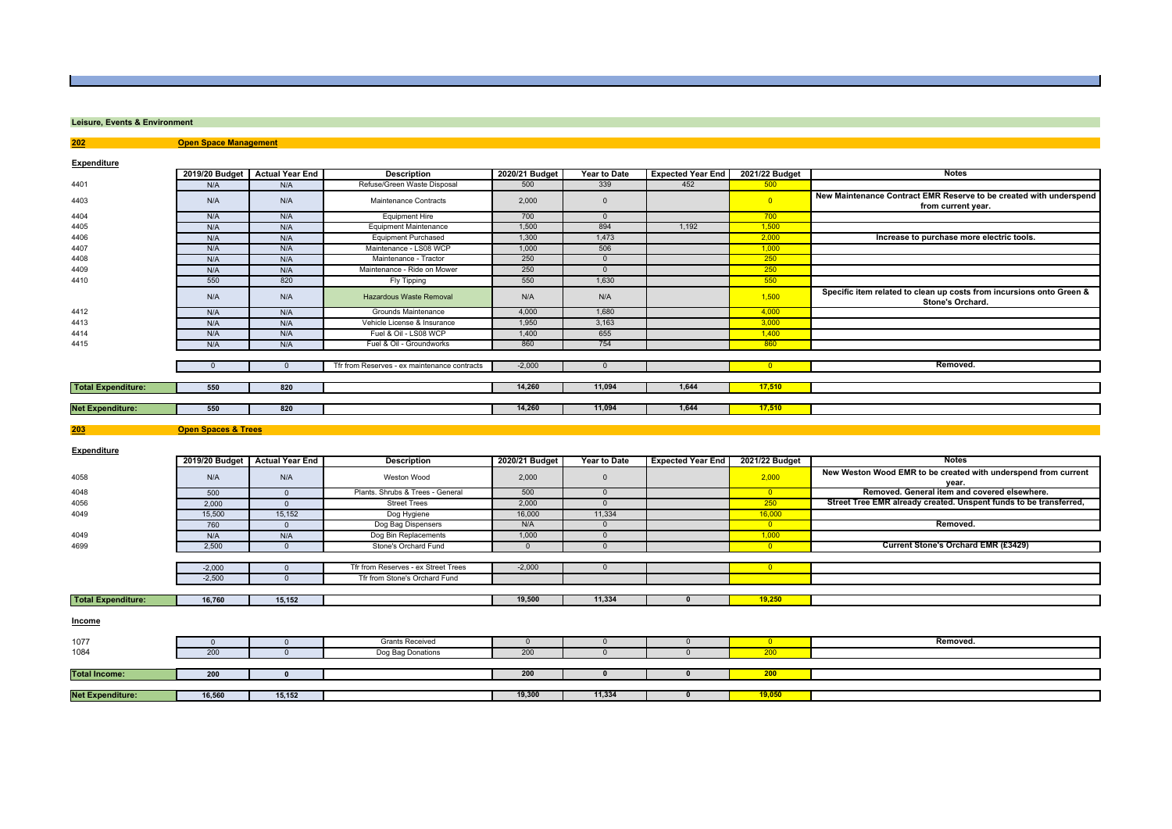### **Leisure, Events & Environment**

**202 Open Space Management**

**Expenditure**

| <b>EXPONSITION</b>        | 2019/20 Budget                 | <b>Actual Year End</b> | <b>Description</b>                           | 2020/21 Budget | Year to Date   | <b>Expected Year End</b> | 2021/22 Budget           | <b>Notes</b>                                                                             |
|---------------------------|--------------------------------|------------------------|----------------------------------------------|----------------|----------------|--------------------------|--------------------------|------------------------------------------------------------------------------------------|
| 4401                      | N/A                            | N/A                    | Refuse/Green Waste Disposal                  | 500            | 339            | 452                      | 500                      |                                                                                          |
| 4403                      | N/A                            | N/A                    | Maintenance Contracts                        | 2,000          | $\mathsf 0$    |                          | $\bullet$                | New Maintenance Contract EMR Reserve to be created with underspend<br>from current year. |
| 4404                      | N/A                            | N/A                    | <b>Equipment Hire</b>                        | 700            | $\overline{0}$ |                          | 700                      |                                                                                          |
| 4405                      | N/A                            | N/A                    | <b>Equipment Maintenance</b>                 | 1,500          | 894            | 1,192                    | 1,500                    |                                                                                          |
| 4406                      | N/A                            | N/A                    | <b>Equipment Purchased</b>                   | 1,300          | 1,473          |                          | 2,000                    | Increase to purchase more electric tools.                                                |
| 4407                      | N/A                            | N/A                    | Maintenance - LS08 WCP                       | 1,000          | 506            |                          | 1,000                    |                                                                                          |
| 4408                      | N/A                            | N/A                    | Maintenance - Tractor                        | 250            | $\overline{0}$ |                          | 250                      |                                                                                          |
| 4409                      | N/A                            | N/A                    | Maintenance - Ride on Mower                  | 250            | $\overline{0}$ |                          | 250                      |                                                                                          |
| 4410                      | 550                            | 820                    | Fly Tipping                                  | 550            | 1,630          |                          | 550                      |                                                                                          |
|                           | N/A                            | N/A                    | <b>Hazardous Waste Removal</b>               | N/A            | N/A            |                          | 1,500                    | Specific item related to clean up costs from incursions onto Green &<br>Stone's Orchard. |
| 4412                      | N/A                            | N/A                    | Grounds Maintenance                          | 4,000          | 1,680          |                          | 4,000                    |                                                                                          |
| 4413                      | N/A                            | N/A                    | Vehicle License & Insurance                  | 1,950          | 3,163          |                          | 3,000                    |                                                                                          |
| 4414                      | N/A                            | N/A                    | Fuel & Oil - LS08 WCP                        | 1,400          | 655            |                          | 1,400                    |                                                                                          |
| 4415                      | N/A                            | N/A                    | Fuel & Oil - Groundworks                     | 860            | 754            |                          | 860                      |                                                                                          |
|                           |                                |                        |                                              |                |                |                          |                          |                                                                                          |
|                           | $\mathbf{0}$                   | $\Omega$               | Tfr from Reserves - ex maintenance contracts | $-2,000$       | $\overline{0}$ |                          | $\overline{0}$           | Removed.                                                                                 |
|                           |                                |                        |                                              |                |                |                          |                          |                                                                                          |
| <b>Total Expenditure:</b> | 550                            | 820                    |                                              | 14,260         | 11,094         | 1,644                    | 17,510                   |                                                                                          |
|                           |                                |                        |                                              |                |                |                          |                          |                                                                                          |
| <b>Net Expenditure:</b>   | 550                            | 820                    |                                              | 14,260         | 11,094         | 1,644                    | 17,510                   |                                                                                          |
| 203                       | <b>Open Spaces &amp; Trees</b> |                        |                                              |                |                |                          |                          |                                                                                          |
| <b>Expenditure</b>        |                                |                        |                                              |                |                |                          |                          |                                                                                          |
|                           | 2019/20 Budget                 | <b>Actual Year End</b> | <b>Description</b>                           | 2020/21 Budget | Year to Date   | <b>Expected Year End</b> | 2021/22 Budget           | <b>Notes</b>                                                                             |
| 4058                      | N/A                            | N/A                    | Weston Wood                                  | 2,000          | $\mathbb O$    |                          | 2,000                    | New Weston Wood EMR to be created with underspend from current<br>year.                  |
| 4048                      | 500                            | $\overline{0}$         | Plants. Shrubs & Trees - General             | 500            | $\overline{0}$ |                          | $\overline{\phantom{0}}$ | Removed. General item and covered elsewhere.                                             |
| 4056                      | 2,000                          | $\overline{0}$         | <b>Street Trees</b>                          | 2,000          | $\overline{0}$ |                          | 250                      | Street Tree EMR already created. Unspent funds to be transferred,                        |
| 4049                      | 15,500                         | 15,152                 | Dog Hygiene                                  | 16,000         | 11,334         |                          | 16,000                   |                                                                                          |
|                           | 760                            | $\overline{0}$         | Dog Bag Dispensers                           | N/A            | $\overline{0}$ |                          | $\overline{\mathbf{0}}$  | Removed.                                                                                 |
| 4049                      | N/A                            | N/A                    | Dog Bin Replacements                         | 1,000          | $\overline{0}$ |                          | 1,000                    |                                                                                          |
| 4699                      | 2,500                          | $\overline{0}$         | Stone's Orchard Fund                         | $\Omega$       | $\Omega$       |                          | $\overline{\mathbf{0}}$  | Current Stone's Orchard EMR (£3429)                                                      |
|                           |                                |                        |                                              |                |                |                          |                          |                                                                                          |
|                           | $-2,000$                       | $\overline{0}$         | Tfr from Reserves - ex Street Trees          | $-2,000$       | $\overline{0}$ |                          | $\overline{0}$           |                                                                                          |
|                           | $-2,500$                       | $\overline{0}$         | Tfr from Stone's Orchard Fund                |                |                |                          |                          |                                                                                          |
|                           |                                |                        |                                              |                |                |                          |                          |                                                                                          |
| <b>Total Expenditure:</b> | 16,760                         | 15,152                 |                                              | 19,500         | 11,334         | $\mathbf{0}$             | 19,250                   |                                                                                          |
| <b>Income</b>             |                                |                        |                                              |                |                |                          |                          |                                                                                          |
| 1077                      | $\mathbf 0$                    | $\overline{0}$         | <b>Grants Received</b>                       | $\overline{0}$ | $\mathbf{0}$   | $\mathbf{0}$             | $\overline{\mathbf{0}}$  | Removed.                                                                                 |
| 1084                      | 200                            | $\Omega$               | Dog Bag Donations                            | 200            | $\overline{0}$ | $\overline{0}$           | 200                      |                                                                                          |
|                           |                                |                        |                                              |                |                |                          |                          |                                                                                          |
| <b>Total Income:</b>      | 200                            | $\mathbf{0}$           |                                              | 200            | $\mathbf{0}$   | $\mathbf{0}$             | 200                      |                                                                                          |
|                           |                                |                        |                                              |                |                |                          |                          |                                                                                          |
| <b>Net Expenditure:</b>   | 16,560                         | 15,152                 |                                              | 19,300         | 11,334         |                          | 19,050                   |                                                                                          |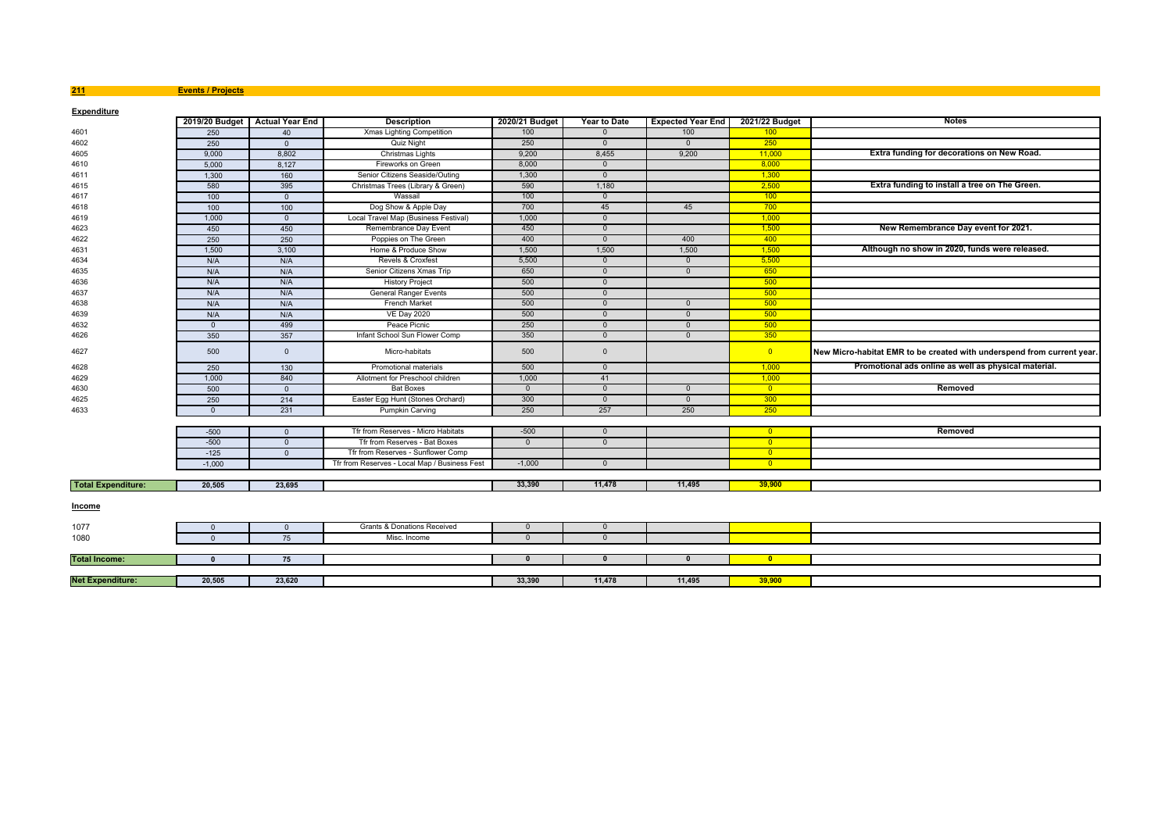**211 Events / Projects**

| <b>Expenditure</b>        |                |                                |                                               |                |                |                          |                         |                                                                        |
|---------------------------|----------------|--------------------------------|-----------------------------------------------|----------------|----------------|--------------------------|-------------------------|------------------------------------------------------------------------|
|                           |                | 2019/20 Budget Actual Year End | <b>Description</b>                            | 2020/21 Budget | Year to Date   | <b>Expected Year End</b> | 2021/22 Budget          | <b>Notes</b>                                                           |
| 4601                      | 250            | 40                             | Xmas Lighting Competition                     | 100            | $\mathbf{0}$   | 100                      | 100                     |                                                                        |
| 4602                      | 250            | $\Omega$                       | <b>Quiz Night</b>                             | 250            | $\Omega$       | $\Omega$                 | 250                     |                                                                        |
| 4605                      | 9,000          | 8,802                          | Christmas Lights                              | 9,200          | 8,455          | 9,200                    | 11,000                  | Extra funding for decorations on New Road.                             |
| 4610                      | 5,000          | 8,127                          | Fireworks on Green                            | 8,000          | $\Omega$       |                          | 8,000                   |                                                                        |
| 4611                      | 1,300          | 160                            | Senior Citizens Seaside/Outing                | 1,300          | $\mathbf{0}$   |                          | 1,300                   |                                                                        |
| 4615                      | 580            | 395                            | Christmas Trees (Library & Green)             | 590            | 1,180          |                          | 2,500                   | Extra funding to install a tree on The Green.                          |
| 4617                      | 100            | $\Omega$                       | Wassail                                       | 100            | $\overline{0}$ |                          | 100                     |                                                                        |
| 4618                      | 100            | 100                            | Dog Show & Apple Day                          | 700            | 45             | 45                       | 700                     |                                                                        |
| 4619                      | 1,000          | $\Omega$                       | Local Travel Map (Business Festival)          | 1,000          | $\mathbf{0}$   |                          | 1,000                   |                                                                        |
| 4623                      | 450            | 450                            | Remembrance Day Event                         | 450            | $\mathbf{0}$   |                          | 1,500                   | New Remembrance Day event for 2021.                                    |
| 4622                      | 250            | 250                            | Poppies on The Green                          | 400            | $\overline{0}$ | 400                      | 400                     |                                                                        |
| 4631                      | 1,500          | 3,100                          | Home & Produce Show                           | 1.500          | 1,500          | 1,500                    | 1.500                   | Although no show in 2020, funds were released.                         |
| 4634                      | N/A            | N/A                            | Revels & Croxfest                             | 5,500          | $\overline{0}$ | $\overline{0}$           | 5,500                   |                                                                        |
| 4635                      | N/A            | N/A                            | Senior Citizens Xmas Trip                     | 650            | $\mathbf{0}$   | $\overline{0}$           | 650                     |                                                                        |
| 4636                      | N/A            | N/A                            | <b>History Project</b>                        | 500            | $\overline{0}$ |                          | 500                     |                                                                        |
| 4637                      | N/A            | N/A                            | <b>General Ranger Events</b>                  | 500            | $\mathbf{0}$   |                          | $-500$                  |                                                                        |
| 4638                      | N/A            | N/A                            | <b>French Market</b>                          | 500            | $\overline{0}$ | $\Omega$                 | 500                     |                                                                        |
| 4639                      | N/A            | N/A                            | <b>VE Day 2020</b>                            | 500            | $\Omega$       | $\Omega$                 | 500                     |                                                                        |
| 4632                      | $\overline{0}$ | 499                            | Peace Picnic                                  | 250            | $\overline{0}$ | $\overline{0}$           | 500                     |                                                                        |
| 4626                      | 350            | 357                            | Infant School Sun Flower Comp                 | 350            | $\overline{0}$ | $\overline{0}$           | 350                     |                                                                        |
| 4627                      | 500            | $\mathbf{0}$                   | Micro-habitats                                | 500            | $\mathbf{0}$   |                          | $\overline{0}$          | New Micro-habitat EMR to be created with underspend from current year. |
| 4628                      | 250            | 130                            | <b>Promotional materials</b>                  | 500            | $\Omega$       |                          | 1,000                   | Promotional ads online as well as physical material.                   |
| 4629                      | 1,000          | 840                            | Allotment for Preschool children              | 1,000          | 41             |                          | 1,000                   |                                                                        |
| 4630                      | 500            | $\overline{0}$                 | <b>Bat Boxes</b>                              | $\mathbf{0}$   | $\overline{0}$ | $\Omega$                 | $\overline{0}$          | Removed                                                                |
| 4625                      | 250            | 214                            | Easter Egg Hunt (Stones Orchard)              | 300            | $\overline{0}$ | $\overline{0}$           | 300                     |                                                                        |
| 4633                      | $\Omega$       | 231                            | <b>Pumpkin Carving</b>                        | 250            | 257            | 250                      | 250                     |                                                                        |
|                           |                |                                |                                               |                |                |                          |                         |                                                                        |
|                           | $-500$         | $\mathbf{0}$                   | Tfr from Reserves - Micro Habitats            | $-500$         | $\overline{0}$ |                          | $\overline{0}$          | Removed                                                                |
|                           | $-500$         | $\mathbf{0}$                   | Tfr from Reserves - Bat Boxes                 | $\overline{0}$ | $\Omega$       |                          | $\overline{\mathbf{0}}$ |                                                                        |
|                           | $-125$         | $\overline{0}$                 | Tfr from Reserves - Sunflower Comp            |                |                |                          | $\overline{0}$          |                                                                        |
|                           | $-1,000$       |                                | Tfr from Reserves - Local Map / Business Fest | $-1,000$       | $\Omega$       |                          | $\overline{0}$          |                                                                        |
|                           |                |                                |                                               |                |                |                          |                         |                                                                        |
| <b>Total Expenditure:</b> | 20,505         | 23.695                         |                                               | 33,390         | 11,478         | 11,495                   | 39,900                  |                                                                        |
| <b>Income</b>             |                |                                |                                               |                |                |                          |                         |                                                                        |
| 1077                      | $\Omega$       | $\overline{0}$                 | Grants & Donations Received                   | $\overline{0}$ | $\overline{0}$ |                          |                         |                                                                        |
| 1080                      | $\mathbf{0}$   | 75                             | Misc. Income                                  | $\Omega$       | $\mathbf{0}$   |                          |                         |                                                                        |
|                           |                |                                |                                               |                |                |                          |                         |                                                                        |
| <b>Total Income:</b>      | $\mathbf{0}$   | 75                             |                                               | $\mathbf{0}$   | $\Omega$       | $\Omega$                 | $\mathbf{0}$            |                                                                        |
|                           |                |                                |                                               |                |                |                          |                         |                                                                        |
| <b>Net Expenditure:</b>   | 20,505         | 23,620                         |                                               | 33,390         | 11,478         | 11,495                   | 39,900                  |                                                                        |
|                           |                |                                |                                               |                |                |                          |                         |                                                                        |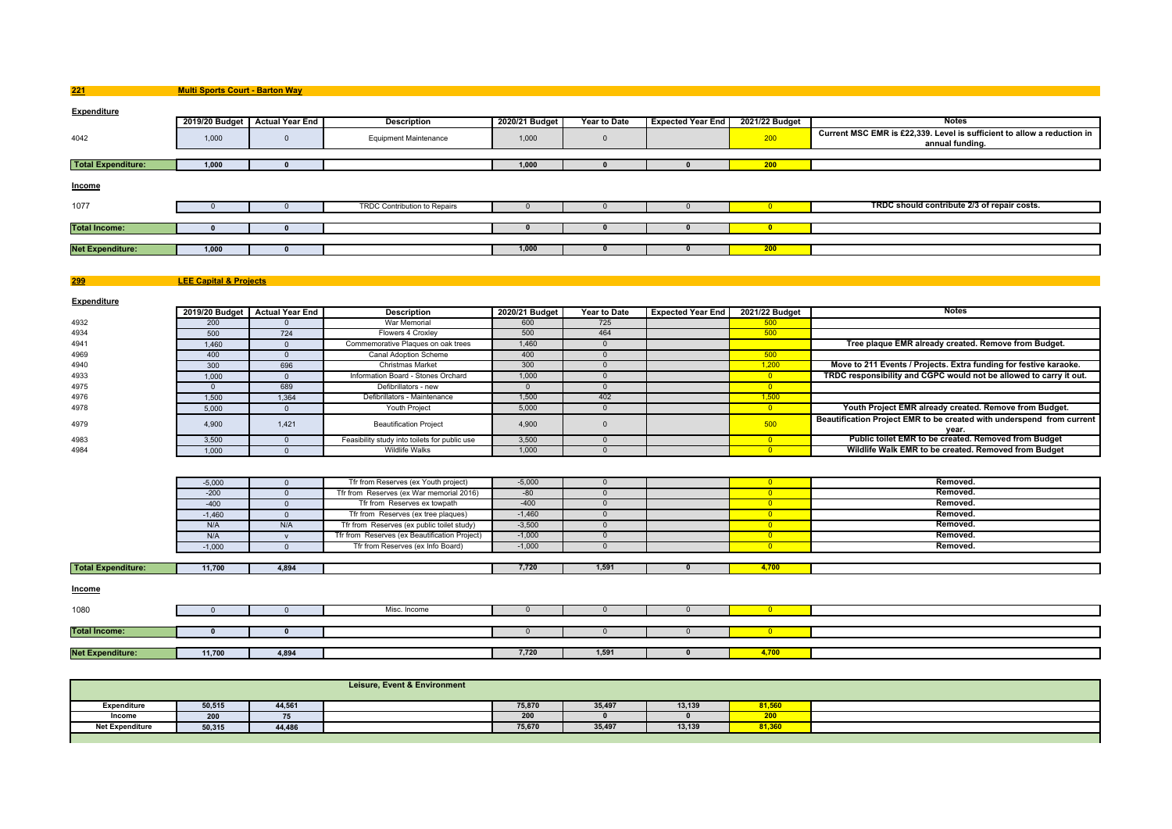**Multi Sports Court - Barton Way**

**221**

**299**

| <b>Expenditure</b>        |       |                                |                              |                |                     |                          |                |                                                                                            |
|---------------------------|-------|--------------------------------|------------------------------|----------------|---------------------|--------------------------|----------------|--------------------------------------------------------------------------------------------|
|                           |       | 2019/20 Budget Actual Year End | <b>Description</b>           | 2020/21 Budget | <b>Year to Date</b> | <b>Expected Year End</b> | 2021/22 Budget | <b>Notes</b>                                                                               |
| 4042                      | 1,000 |                                | <b>Equipment Maintenance</b> | 1,000          |                     |                          | 200            | Current MSC EMR is £22,339. Level is sufficient to allow a reduction in<br>annual funding. |
|                           |       |                                |                              |                |                     |                          |                |                                                                                            |
| <b>Total Expenditure:</b> | 1,000 |                                |                              | 1,000          |                     |                          | 200            |                                                                                            |
| <b>Income</b>             |       |                                |                              |                |                     |                          |                |                                                                                            |
| 1077                      |       |                                | TRDC Contribution to Repairs |                |                     |                          |                | TRDC should contribute 2/3 of repair costs.                                                |
|                           |       |                                |                              |                |                     |                          |                |                                                                                            |
| <b>Total Income:</b>      |       |                                |                              |                |                     |                          |                |                                                                                            |
|                           |       |                                |                              |                |                     |                          |                |                                                                                            |
| <b>Net Expenditure:</b>   | 1,000 |                                |                              | 1,000          |                     |                          | 200            |                                                                                            |
|                           |       |                                |                              |                |                     |                          |                |                                                                                            |

**LEE Capital & Projects**

**Expenditure2019/20 Budget Actual Year EndDescription 2020/21 Budget Year to Date Expected Year End 2021/22 Budget Notes War Memorial 800 2021/22 Budget 1** 4932 <sup>200</sup> <sup>0</sup> War Memorial <sup>600</sup> <sup>725</sup> <sup>500</sup> 4934 <sup>500</sup> <sup>724</sup> Flowers 4 Croxley <sup>500</sup> <sup>464</sup> <sup>500</sup> 4941 1,460 <sup>0</sup> Commemorative Plaques on oak trees 1,460 <sup>0</sup> **Tree plaque EMR already created. Remove from Budget.** 4969 <sup>400</sup> <sup>0</sup> Canal Adoption Scheme <sup>400</sup> <sup>0</sup> <sup>500</sup> 4940300 696 Christmas Market 300 0 1,000 0 1,200 **Move to 211 Events / Projects. Extra funding for festive karaoke.**<br>2000 1.000 0 1.000 1.000 1,000 0 1,000 0 1,000 0 1 1,000 0 1 1,000 0 1 1,000 0 1,000 0 1,000 0 1,000 1,000 0 4933 1,000 <sup>0</sup> Information Board - Stones Orchard 1,000 <sup>0</sup> <sup>0</sup> **TRDC responsibility and CGPC would not be allowed to carry it out.** 49755 0 689 Defibrillators - new 0 <mark> 0</mark> 49766 1,500 1,364 Defibrillators - Maintenance 1,500 402 402 1,500 1,500 1,500 4978 5,000 <sup>0</sup> Youth Project 5,000 <sup>0</sup> <sup>0</sup> **Youth Project EMR already created. Remove from Budget.** 4,900 1,421 Beautification Project 4,900 0 4,900 0 500 **Beautification Project EMR to be created with underspend from current**<br>4983 3,500 0 Feasibility study into toilets for public use 3,500 0 0 0 **Public toilet EMR to be** 3,500 0 Feasibility study into toilets for public use 3,500 0 0 0 0 0 **Public toilet EMR to be created. Removed from Budget** 498349841,000 <sup>0</sup> Wildlife Walks 1,000 <sup>0</sup> <sup>0</sup> **Wildlife Walk EMR to be created. Removed from Budget**

|                           | $-5,000$ |       | Tfr from Reserves (ex Youth project)          | $-5,000$ |       |       | Removed. |
|---------------------------|----------|-------|-----------------------------------------------|----------|-------|-------|----------|
|                           | $-200$   |       | Tfr from Reserves (ex War memorial 2016)      | $-80$    |       |       | Removed. |
|                           | $-400$   |       | Tfr from Reserves ex towpath                  | $-400$   |       |       | Removed. |
|                           | $-1,460$ |       | Tfr from Reserves (ex tree plaques)           | $-1,460$ |       |       | Removed. |
|                           | N/A      | N/A   | Tfr from Reserves (ex public toilet study)    | $-3,500$ |       |       | Removed. |
|                           | N/A      |       | Tfr from Reserves (ex Beautification Project) | $-1,000$ |       |       | Removed. |
|                           | $-1,000$ |       | Tfr from Reserves (ex Info Board)             | $-1,000$ |       |       | Removed. |
|                           |          |       |                                               |          |       |       |          |
| <b>Total Expenditure:</b> | 11,700   | 4,894 |                                               | 7,720    | 1,591 | 4,700 |          |
|                           |          |       |                                               |          |       |       |          |
| <b>Income</b>             |          |       |                                               |          |       |       |          |
|                           |          |       |                                               |          |       |       |          |
| 1080                      |          |       | Misc. Income                                  |          |       |       |          |

| $1.1 - 4$ | 11.700<br>11.701 | $\overline{100}$<br>4.03 | 7,720 | A E0A<br>1.591 | $\overline{\phantom{a}}$ |  |
|-----------|------------------|--------------------------|-------|----------------|--------------------------|--|

|                        |        |        | Leisure, Event & Environment |        |        |        |                 |  |
|------------------------|--------|--------|------------------------------|--------|--------|--------|-----------------|--|
| Expenditure            | 50,515 | 44,561 |                              | 75,870 | 35,497 | 13,139 | 81,56           |  |
| Income                 | 200    |        |                              | 200    |        |        | ---<br><u>_</u> |  |
| <b>Net Expenditure</b> | 50,315 | 44,486 |                              | 75,670 | 35,497 | 13,139 | 81,36           |  |
|                        |        |        |                              |        |        |        |                 |  |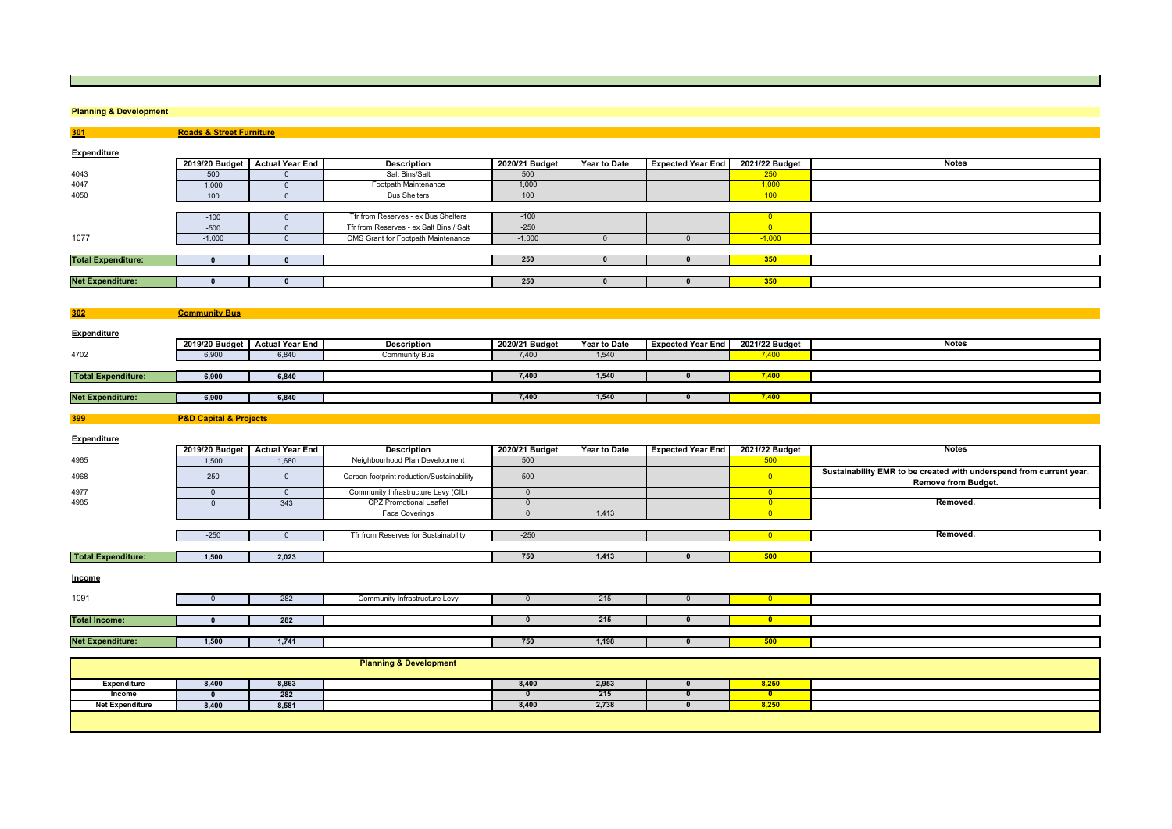### **Planning & Development**

**Roads & Street Furniture**

**301**

**399**

| Expenditure               |                      |                                |                                         |                |                     |                          |                |              |
|---------------------------|----------------------|--------------------------------|-----------------------------------------|----------------|---------------------|--------------------------|----------------|--------------|
|                           |                      | 2019/20 Budget Actual Year End | <b>Description</b>                      | 2020/21 Budget | <b>Year to Date</b> | <b>Expected Year End</b> | 2021/22 Budget | <b>Notes</b> |
| 4043                      | 500                  |                                | Salt Bins/Salt                          | 500            |                     |                          | 250            |              |
| 4047                      | 1,000                |                                | Footpath Maintenance                    | 1,000          |                     |                          | 1,000          |              |
| 4050                      | 100                  |                                | <b>Bus Shelters</b>                     | 100            |                     |                          | 100            |              |
|                           |                      |                                |                                         |                |                     |                          |                |              |
|                           | $-100$               |                                | Tfr from Reserves - ex Bus Shelters     | $-100$         |                     |                          |                |              |
|                           | $-500$               |                                | Tfr from Reserves - ex Salt Bins / Salt | $-250$         |                     |                          | $\overline{0}$ |              |
| 1077                      | $-1,000$             |                                | CMS Grant for Footpath Maintenance      | $-1,000$       |                     |                          | $-1,000$       |              |
|                           |                      |                                |                                         |                |                     |                          |                |              |
| <b>Total Expenditure:</b> |                      |                                |                                         | 250            |                     |                          | 350            |              |
|                           |                      |                                |                                         |                |                     |                          |                |              |
| <b>Net Expenditure:</b>   |                      |                                |                                         | 250            |                     |                          | 350            |              |
|                           |                      |                                |                                         |                |                     |                          |                |              |
|                           |                      |                                |                                         |                |                     |                          |                |              |
| 302                       | <b>Community Bus</b> |                                |                                         |                |                     |                          |                |              |

| <b>Expenditure</b>        |       |                                |                    |                |                     |                          |                |              |
|---------------------------|-------|--------------------------------|--------------------|----------------|---------------------|--------------------------|----------------|--------------|
|                           |       | 2019/20 Budget Actual Year End | <b>Description</b> | 2020/21 Budget | <b>Year to Date</b> | <b>Expected Year End</b> | 2021/22 Budget | <b>Notes</b> |
| 4702                      | 6,900 | 6,840                          | Community Bus      | 7,400          | 1,540               |                          |                |              |
|                           |       |                                |                    |                |                     |                          |                |              |
| <b>Total Expenditure:</b> | 6,900 | 6,840                          |                    | 7,400          | 1.54                |                          | 7.400          |              |
|                           |       |                                |                    |                |                     |                          |                |              |
| <b>Net Expenditure:</b>   | 6,900 | 6,840                          |                    | 7,400          | 1.540               |                          | 7.400          |              |
|                           |       |                                |                    |                |                     |                          |                |              |

## **P&D Capital & Projects**

| <b>Expenditure</b>        |              |                                |                                           |                |              |                          |                         |                                                                                                   |
|---------------------------|--------------|--------------------------------|-------------------------------------------|----------------|--------------|--------------------------|-------------------------|---------------------------------------------------------------------------------------------------|
|                           |              | 2019/20 Budget Actual Year End | <b>Description</b>                        | 2020/21 Budget | Year to Date | <b>Expected Year End</b> | 2021/22 Budget          | Notes                                                                                             |
| 4965                      | 1,500        | 1,680                          | Neighbourhood Plan Development            | 500            |              |                          | 500                     |                                                                                                   |
| 4968                      | 250          | $\Omega$                       | Carbon footprint reduction/Sustainability | 500            |              |                          | $\overline{0}$          | Sustainability EMR to be created with underspend from current year.<br><b>Remove from Budget.</b> |
| 4977                      | $\Omega$     | $\Omega$                       | Community Infrastructure Levy (CIL)       | $\Omega$       |              |                          | $\overline{0}$          |                                                                                                   |
| 4985                      | $\Omega$     | 343                            | <b>CPZ Promotional Leaflet</b>            | $\Omega$       |              |                          | $\overline{0}$          | Removed.                                                                                          |
|                           |              |                                | <b>Face Coverings</b>                     | $\Omega$       | 1,413        |                          | $\overline{\mathbf{0}}$ |                                                                                                   |
|                           |              |                                |                                           |                |              |                          |                         |                                                                                                   |
|                           | $-250$       | n                              | Tfr from Reserves for Sustainability      | $-250$         |              |                          | $\overline{0}$          | Removed.                                                                                          |
|                           |              |                                |                                           |                |              |                          |                         |                                                                                                   |
| <b>Total Expenditure:</b> | 1,500        | 2,023                          |                                           | 750            | 1,413        |                          | 500                     |                                                                                                   |
| <b>Income</b>             |              |                                |                                           |                |              |                          |                         |                                                                                                   |
| 1091                      |              | 282                            | Community Infrastructure Levy             | $\Omega$       | 215          | $\Omega$                 | $\overline{0}$          |                                                                                                   |
|                           |              |                                |                                           |                |              |                          |                         |                                                                                                   |
| <b>Total Income:</b>      | $\mathbf{r}$ | 282                            |                                           | $\mathbf{0}$   | 215          | $\mathbf{0}$             | $\overline{\mathbf{0}}$ |                                                                                                   |
|                           |              |                                |                                           |                |              |                          |                         |                                                                                                   |
| <b>Net Expenditure:</b>   | 1,500        | 1,741                          |                                           | 750            | 1,198        | $\bf{0}$                 | 500                     |                                                                                                   |
|                           |              |                                |                                           |                |              |                          |                         |                                                                                                   |
|                           |              |                                | <b>Planning &amp; Development</b>         |                |              |                          |                         |                                                                                                   |
| <b>Expenditure</b>        | 8,400        | 8,863                          |                                           | 8,400          | 2,953        |                          | 8,250                   |                                                                                                   |
| Income                    | $\Omega$     | 282                            |                                           | $\mathbf{0}$   | 215          | $\mathbf{0}$             | $\overline{\mathbf{0}}$ |                                                                                                   |
| <b>Net Expenditure</b>    | 8,400        | 8,581                          |                                           | 8,400          | 2,738        |                          | 8,250                   |                                                                                                   |